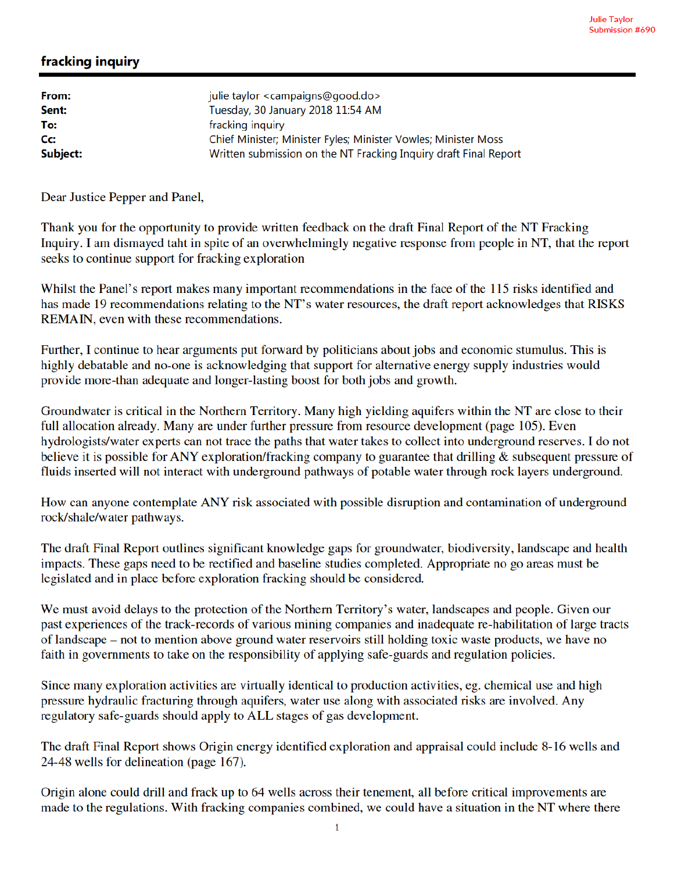## fracking inquiry

| From:    | julie taylor <campaigns@good.do></campaigns@good.do>             |
|----------|------------------------------------------------------------------|
| Sent:    | Tuesday, 30 January 2018 11:54 AM                                |
| To:      | fracking inquiry                                                 |
| Cc:      | Chief Minister; Minister Fyles; Minister Vowles; Minister Moss   |
| Subject: | Written submission on the NT Fracking Inquiry draft Final Report |

Dear Justice Pepper and Panel,

Thank you for the opportunity to provide written feedback on the draft Final Report of the NT Fracking Inquiry. I am dismayed taht in spite of an overwhelmingly negative response from people in NT, that the report seeks to continue support for fracking exploration

Whilst the Panel's report makes many important recommendations in the face of the 115 risks identified and has made 19 recommendations relating to the NT's water resources, the draft report acknowledges that RISKS REMAIN, even with these recommendations.

Further, I continue to hear arguments put forward by politicians about jobs and economic stumulus. This is highly debatable and no-one is acknowledging that support for alternative energy supply industries would provide more-than adequate and longer-lasting boost for both jobs and growth.

Groundwater is critical in the Northern Territory. Many high yielding aquifers within the NT are close to their full allocation already. Many are under further pressure from resource development (page 105). Even hydrologists/water experts can not trace the paths that water takes to collect into underground reserves. I do not believe it is possible for ANY exploration/fracking company to guarantee that drilling & subsequent pressure of fluids inserted will not interact with underground pathways of potable water through rock layers underground.

How can anyone contemplate ANY risk associated with possible disruption and contamination of underground rock/shale/water pathways.

The draft Final Report outlines significant knowledge gaps for groundwater, biodiversity, landscape and health impacts. These gaps need to be rectified and baseline studies completed. Appropriate no go areas must be legislated and in place before exploration fracking should be considered.

We must avoid delays to the protection of the Northern Territory's water, landscapes and people. Given our past experiences of the track-records of various mining companies and inadequate re-habilitation of large tracts of landscape – not to mention above ground water reservoirs still holding toxic waste products, we have no faith in governments to take on the responsibility of applying safe-guards and regulation policies.

Since many exploration activities are virtually identical to production activities, eg. chemical use and high pressure hydraulic fracturing through aquifers, water use along with associated risks are involved. Any regulatory safe-guards should apply to ALL stages of gas development.

The draft Final Report shows Origin energy identified exploration and appraisal could include 8-16 wells and 24-48 wells for delineation (page 167).

Origin alone could drill and frack up to 64 wells across their tenement, all before critical improvements are made to the regulations. With fracking companies combined, we could have a situation in the NT where there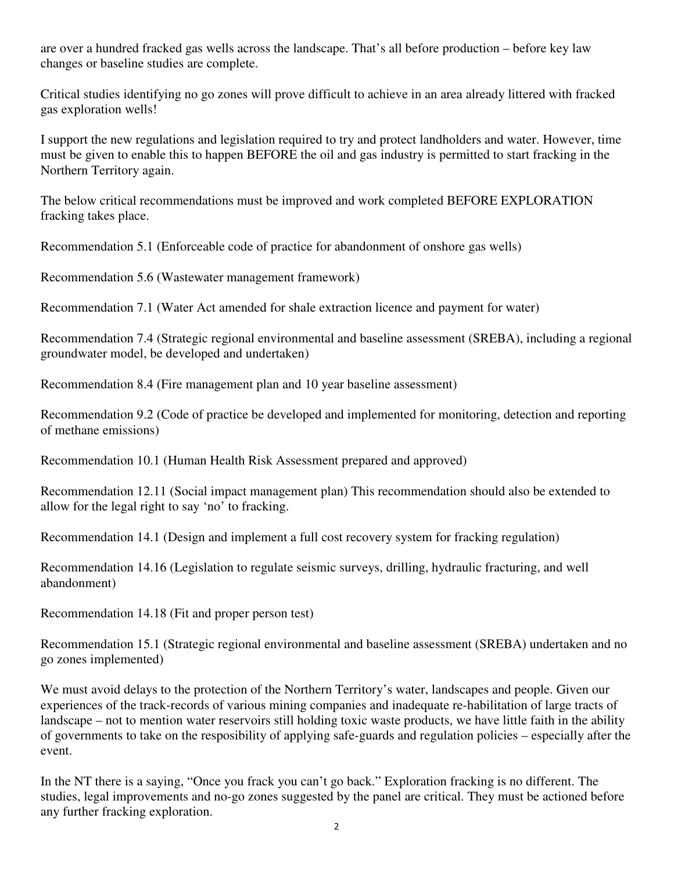are over a hundred fracked gas wells across the landscape. That's all before production – before key law changes or baseline studies are complete.

Critical studies identifying no go zones will prove difficult to achieve in an area already littered with fracked gas exploration wells!

I support the new regulations and legislation required to try and protect landholders and water. However, time must be given to enable this to happen BEFORE the oil and gas industry is permitted to start fracking in the Northern Territory again.

The below critical recommendations must be improved and work completed BEFORE EXPLORATION fracking takes place.

Recommendation 5.1 (Enforceable code of practice for abandonment of onshore gas wells)

Recommendation 5.6 (Wastewater management framework)

Recommendation 7.1 (Water Act amended for shale extraction licence and payment for water)

Recommendation 7.4 (Strategic regional environmental and baseline assessment (SREBA), including a regional groundwater model, be developed and undertaken)

Recommendation 8.4 (Fire management plan and 10 year baseline assessment)

Recommendation 9.2 (Code of practice be developed and implemented for monitoring, detection and reporting of methane emissions)

Recommendation 10.1 (Human Health Risk Assessment prepared and approved)

Recommendation 12.11 (Social impact management plan) This recommendation should also be extended to allow for the legal right to say 'no' to fracking.

Recommendation 14.1 (Design and implement a full cost recovery system for fracking regulation)

Recommendation 14.16 (Legislation to regulate seismic surveys, drilling, hydraulic fracturing, and well abandonment)

Recommendation 14.18 (Fit and proper person test)

Recommendation 15.1 (Strategic regional environmental and baseline assessment (SREBA) undertaken and no go zones implemented)

We must avoid delays to the protection of the Northern Territory's water, landscapes and people. Given our experiences of the track-records of various mining companies and inadequate re-habilitation of large tracts of landscape – not to mention water reservoirs still holding toxic waste products, we have little faith in the ability of governments to take on the resposibility of applying safe-guards and regulation policies – especially after the event.

In the NT there is a saying, "Once you frack you can't go back." Exploration fracking is no different. The studies, legal improvements and no-go zones suggested by the panel are critical. They must be actioned before any further fracking exploration.